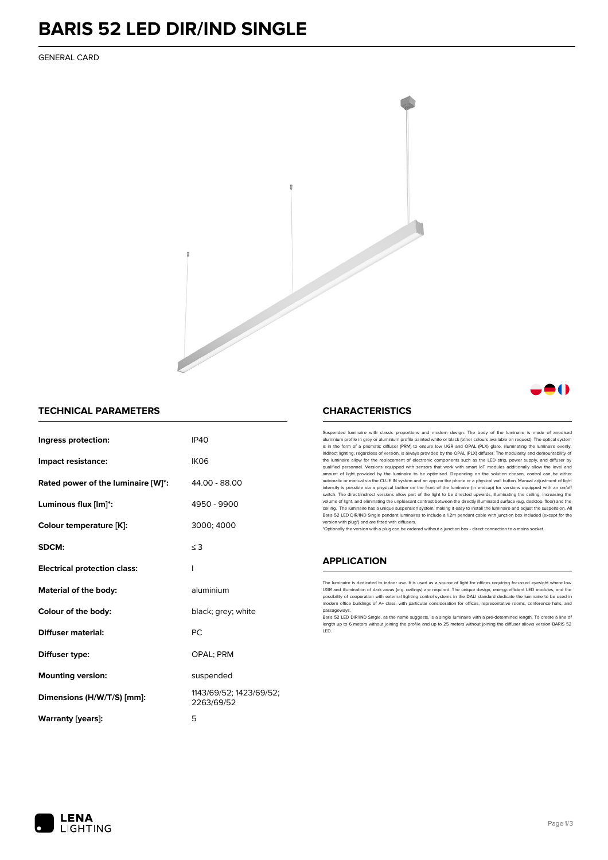## **BARIS 52 LED DIR/IND SINGLE**

GENERAL CARD



## **TECHNICAL PARAMETERS**

| Ingress protection:                 | <b>IP40</b>                           |
|-------------------------------------|---------------------------------------|
| Impact resistance:                  | IK <sub>06</sub>                      |
| Rated power of the luminaire [W]*:  | 44.00 - 88.00                         |
| Luminous flux [lm]*:                | 4950 - 9900                           |
| Colour temperature [K]:             | 3000; 4000                            |
| SDCM:                               | $\leq$ 3                              |
| <b>Electrical protection class:</b> | I                                     |
| Material of the body:               | aluminium                             |
| Colour of the body:                 | black; grey; white                    |
| <b>Diffuser material:</b>           | PC                                    |
| Diffuser type:                      | <b>OPAL: PRM</b>                      |
| <b>Mounting version:</b>            | suspended                             |
| Dimensions (H/W/T/S) [mm]:          | 1143/69/52; 1423/69/52;<br>2263/69/52 |
| Warranty [years]:                   | 5                                     |
|                                     |                                       |

## **CHARACTERISTICS**

Suspended luminaire with classic proportions and modern design. The body of the luminaire is made of ano aluminium profile in grey or aluminium profile painted white or black (other colours available on request). The optical system is in the form of a prismatic diffuser (PRM) to ensure low UGR and OPAL (PLX) glare, illuminating the luminaire evenly.<br>Indirect lighting, regardless of version, is always provided by the OPAL (PLX) diffuser. The modularit the luminaire allow for the replacement of electronic components such as the LED strip, power supply, and diffuser by<br>qualified personnel. Versions equipped with sensors that work with smart loT modules additionally allow automatic or manual via the CLUE IN system and an app on the phone or a physical wall button. Manual adjustment of light<br>intensity is possible via a physical button on the front of the luminaire (in endcap) for versions eq switch. The direct/indirect versions allow part of the light to be directed upwards, illuminating the ceiling, increasing the volume of light, and eliminating the unpleasant contrast between the directly illuminated surface (e.g. desktop, floor) and the<br>ceiling. The luminaire has a unique suspension system, making it easy to install the luminair Baris 52 LED DIR/IND Single pendant Iuminaires to include a 1.2m pendant cable with junction box included (except for the<br>version with plug\*) and are fitted with diffusers.

\*Optionally the version with a plug can be ordered without a junction box - direct connection to a mains socket.

### **APPLICATION**

The luminaire is dedicated to indoor use. It is used as a source of light for offices requiring focussed eyesight where low UGR and illumination of dark areas (e.g. ceilings) are required. The unique design, energy-efficient LED modules, and the<br>possibility of cooperation with external lighting control systems in the DALI standard dedicate the modern office buildings of A+ class, with particular consideration for offices, representative rooms, conference halls, and passageway!

.<br>Baris 52 LED DIR/IND Single, as the name suggests, is a single luminaire with a pre-determined length. To create a line of length up to 6 meters without joining the profile and up to 25 meters without joining the diffuser allows version BARIS 52 LED.



- 11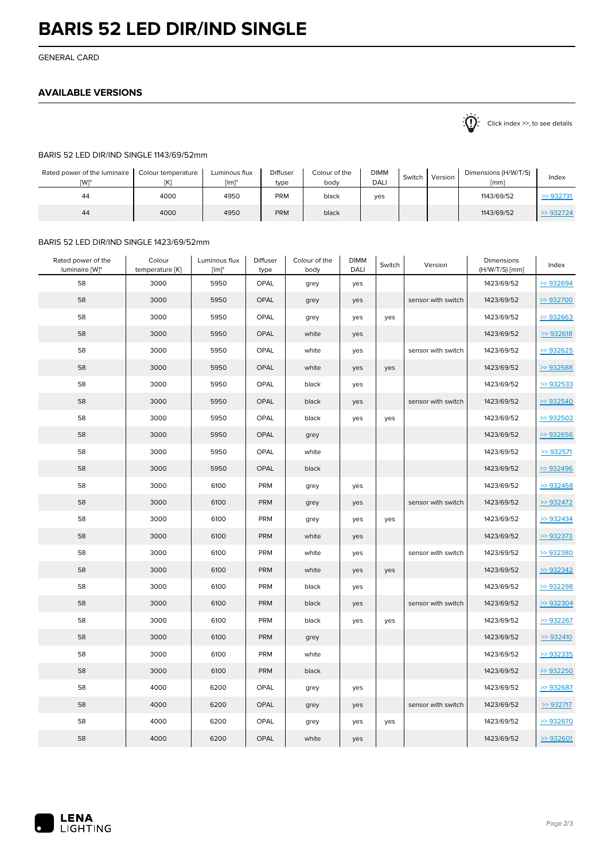## **BARIS 52 LED DIR/IND SINGLE**

GENERAL CARD

## **AVAILABLE VERSIONS**

 $\sum_{n=1}^{\infty}$  Click index >>, to see details

#### BARIS 52 LED DIR/IND SINGLE 1143/69/52mm

| Rated power of the luminaire<br><b>TW1*</b> | Colour temperature<br>[K] | Luminous flux<br>$[Im]$ * | <b>Diffuser</b><br>type | Colour of the<br>bodv | <b>DIMM</b><br>DALI | Switch | Version | Dimensions (H/W/T/S)<br>[mm] | Index   |
|---------------------------------------------|---------------------------|---------------------------|-------------------------|-----------------------|---------------------|--------|---------|------------------------------|---------|
| 44                                          | 4000                      | 4950                      | <b>PRM</b>              | black                 | ves                 |        |         | 1143/69/52                   | >932731 |
| 44                                          | 4000                      | 4950                      | <b>PRM</b>              | black                 |                     |        |         | 1143/69/52                   | >932724 |

## BARIS 52 LED DIR/IND SINGLE 1423/69/52mm

| Rated power of the<br>luminaire [W]* | Colour<br>temperature [K] | Luminous flux<br>$[Im]^*$ | Diffuser<br>type | Colour of the<br>body | <b>DIMM</b><br>DALI | Switch | Version            | Dimensions<br>(H/W/T/S) [mm] | Index   |
|--------------------------------------|---------------------------|---------------------------|------------------|-----------------------|---------------------|--------|--------------------|------------------------------|---------|
| 58                                   | 3000                      | 5950                      | OPAL             | grey                  | yes                 |        |                    | 1423/69/52                   | >932694 |
| 58                                   | 3000                      | 5950                      | OPAL             | grey                  | yes                 |        | sensor with switch | 1423/69/52                   | >932700 |
| 58                                   | 3000                      | 5950                      | OPAL             | grey                  | yes                 | yes    |                    | 1423/69/52                   | >932663 |
| 58                                   | 3000                      | 5950                      | OPAL             | white                 | yes                 |        |                    | 1423/69/52                   | >932618 |
| 58                                   | 3000                      | 5950                      | OPAL             | white                 | yes                 |        | sensor with switch | 1423/69/52                   | >932625 |
| 58                                   | 3000                      | 5950                      | OPAL             | white                 | yes                 | yes    |                    | 1423/69/52                   | >932588 |
| 58                                   | 3000                      | 5950                      | OPAL             | black                 | yes                 |        |                    | 1423/69/52                   | >932533 |
| 58                                   | 3000                      | 5950                      | OPAL             | black                 | yes                 |        | sensor with switch | 1423/69/52                   | >932540 |
| 58                                   | 3000                      | 5950                      | OPAL             | black                 | yes                 | yes    |                    | 1423/69/52                   | >932502 |
| 58                                   | 3000                      | 5950                      | OPAL             | grey                  |                     |        |                    | 1423/69/52                   | >932656 |
| 58                                   | 3000                      | 5950                      | OPAL             | white                 |                     |        |                    | 1423/69/52                   | >932571 |
| 58                                   | 3000                      | 5950                      | OPAL             | black                 |                     |        |                    | 1423/69/52                   | >932496 |
| 58                                   | 3000                      | 6100                      | PRM              | grey                  | yes                 |        |                    | 1423/69/52                   | >932458 |
| 58                                   | 3000                      | 6100                      | PRM              | grey                  | yes                 |        | sensor with switch | 1423/69/52                   | >932472 |
| 58                                   | 3000                      | 6100                      | PRM              | grey                  | yes                 | yes    |                    | 1423/69/52                   | >932434 |
| 58                                   | 3000                      | 6100                      | <b>PRM</b>       | white                 | yes                 |        |                    | 1423/69/52                   | >932373 |
| 58                                   | 3000                      | 6100                      | <b>PRM</b>       | white                 | yes                 |        | sensor with switch | 1423/69/52                   | >932380 |
| 58                                   | 3000                      | 6100                      | PRM              | white                 | yes                 | yes    |                    | 1423/69/52                   | >932342 |
| 58                                   | 3000                      | 6100                      | <b>PRM</b>       | black                 | yes                 |        |                    | 1423/69/52                   | >932298 |
| 58                                   | 3000                      | 6100                      | PRM              | black                 | yes                 |        | sensor with switch | 1423/69/52                   | >932304 |
| 58                                   | 3000                      | 6100                      | PRM              | black                 | yes                 | yes    |                    | 1423/69/52                   | >932267 |
| 58                                   | 3000                      | 6100                      | <b>PRM</b>       | grey                  |                     |        |                    | 1423/69/52                   | >932410 |
| 58                                   | 3000                      | 6100                      | <b>PRM</b>       | white                 |                     |        |                    | 1423/69/52                   | >932335 |
| 58                                   | 3000                      | 6100                      | <b>PRM</b>       | black                 |                     |        |                    | 1423/69/52                   | >932250 |
| 58                                   | 4000                      | 6200                      | <b>OPAL</b>      | grey                  | yes                 |        |                    | 1423/69/52                   | >932687 |
| 58                                   | 4000                      | 6200                      | OPAL             | grey                  | yes                 |        | sensor with switch | 1423/69/52                   | >932717 |
| 58                                   | 4000                      | 6200                      | OPAL             | grey                  | yes                 | yes    |                    | 1423/69/52                   | >932670 |
| 58                                   | 4000                      | 6200                      | OPAL             | white                 | yes                 |        |                    | 1423/69/52                   | >932601 |